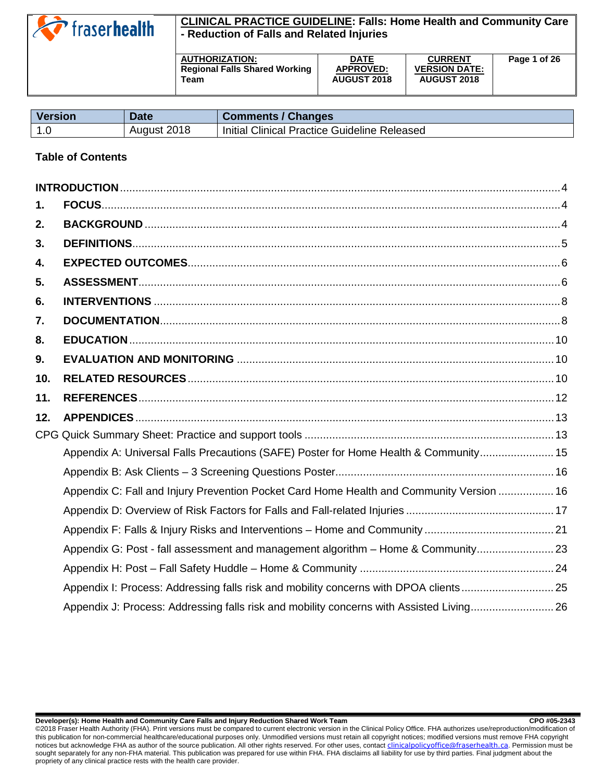

# **CLINICAL PRACTICE GUIDELINE: Falls: Home Health and Community Care - Reduction of Falls and Related Injuries**

| <b>AUTHORIZATION:</b>                | <b>DATE</b>        | <b>CURRENT</b>       | Page 1 of 26 |
|--------------------------------------|--------------------|----------------------|--------------|
| <b>Regional Falls Shared Working</b> | <b>APPROVED:</b>   | <b>VERSION DATE:</b> |              |
| Team                                 | <b>AUGUST 2018</b> | <b>AUGUST 2018</b>   |              |
|                                      |                    |                      |              |

| <b>Version</b> | <b>Date</b> | <b>Comments / Changes</b>                    |
|----------------|-------------|----------------------------------------------|
| <u>າດ</u>      | August 2018 | Initial Clinical Practice Guideline Released |

### **Table of Contents**

| Appendix A: Universal Falls Precautions (SAFE) Poster for Home Health & Community 15     |  |
|------------------------------------------------------------------------------------------|--|
|                                                                                          |  |
| Appendix C: Fall and Injury Prevention Pocket Card Home Health and Community Version  16 |  |
|                                                                                          |  |
|                                                                                          |  |
| Appendix G: Post - fall assessment and management algorithm - Home & Community 23        |  |
|                                                                                          |  |
| Appendix I: Process: Addressing falls risk and mobility concerns with DPOA clients 25    |  |
| Appendix J: Process: Addressing falls risk and mobility concerns with Assisted Living 26 |  |
|                                                                                          |  |

**Developer(s): Home Health and Community Care Falls and Injury Reduction Shared Work Team CPO #05-2343**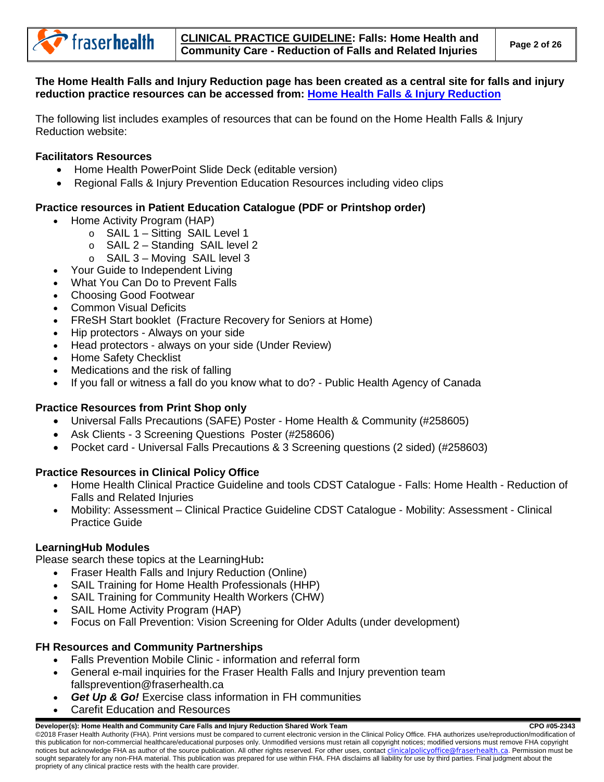**The Home Health Falls and Injury Reduction page has been created as a central site for falls and injury reduction practice resources can be accessed from: [Home Health Falls & Injury Reduction](http://fhpulse/clinical_programs/home_health/resources/education/Pages/FallsInjuryReduction.aspx)**

The following list includes examples of resources that can be found on the Home Health Falls & Injury Reduction website:

### **Facilitators Resources**

- Home Health PowerPoint Slide Deck (editable version)
- Regional Falls & Injury Prevention Education Resources including video clips

# **Practice resources in Patient Education Catalogue (PDF or Printshop order)**

- Home Activity Program (HAP)
	- o SAIL 1 Sitting [SAIL Level 1](https://patienteduc.fraserhealth.ca/search/results/175238)
	- o SAIL 2 Standing [SAIL level 2](https://patienteduc.fraserhealth.ca/search/results/195334)
	- $\circ$  SAIL 3 Moving [SAIL level 3](https://patienteduc.fraserhealth.ca/search/results/195335)
- [Your Guide to Independent Living](https://patienteduc.fraserhealth.ca/search/results/24140)
- [What You Can Do to Prevent Falls](https://patienteduc.fraserhealth.ca/search/results/1072)
- [Choosing Good Footwear](https://patienteduc.fraserhealth.ca/search/results/174831)
- [Common Visual Deficits](https://patienteduc.fraserhealth.ca/file/common-visual-deficits-a-guide-to-aging-vision-262701.pdf)
- [FReSH Start booklet](https://patienteduc.fraserhealth.ca/search/results/104333) (Fracture Recovery for Seniors at Home)
- Hip protectors [Always on your side](https://patienteduc.fraserhealth.ca/search/results?q=alwasy+at+your+side+hip+protectors&f_language_facet=English&sort=score+desc&p=1&ps=1&bu=/)
- Head protectors always on your side (Under Review)
- [Home Safety Checklist](http://fhpulse/clinical_programs/home_health/Home%20Health%20Document%20Library/3%20Education/Falls%20Injury%20Reduction/FMC_Home%20Safety%20Checklist_July%202017.pdf)
- [Medications and the risk of falling](http://findingbalancebc.ca/wp-content/uploads/2017/10/Medications-and-the-Risk-of-Falling-2017-FINAL.pdf)
- If you fall or witness a fall do you know what to do? Public Health Agency of Canada

# **Practice Resources from Print Shop only**

- Universal Falls Precautions (SAFE) Poster Home Health & Community (#258605)
- Ask Clients 3 Screening Questions Poster (#258606)
- Pocket card Universal Falls Precautions & 3 Screening questions (2 sided) (#258603)

# **Practice Resources in Clinical Policy Office**

- Home Health Clinical Practice Guideline and tools CDST Catalogue [Falls: Home Health -](http://fhpulse/clinical_resources/clinical_policy_office/Lists/CDST%20Library/DispForm.aspx?ID=2343) Reduction of [Falls and Related Injuries](http://fhpulse/clinical_resources/clinical_policy_office/Lists/CDST%20Library/DispForm.aspx?ID=2343)
- Mobility: Assessment Clinical Practice Guideline CDST Catalogue [Mobility: Assessment -](http://fhpulse/clinical_resources/clinical_policy_office/Lists/CDST%20Library/DispForm.aspx?ID=435) Clinical [Practice Guide](http://fhpulse/clinical_resources/clinical_policy_office/Lists/CDST%20Library/DispForm.aspx?ID=435)

#### **LearningHub Modules**

Please search these topics at the [LearningHub](https://learninghub.phsa.ca/)**:**

- [Fraser Health Falls and Injury Reduction](https://learninghub.phsa.ca/Courses/12171/fraser-health-falls-and-injury-reduction-introduction-online) (Online)
- [SAIL Training for Home Health Professionals \(HHP\)](https://learninghub.phsa.ca/Courses/11766/sail-training-for-home-health-professionals-hhp)
- [SAIL Training for Community Health Workers \(CHW\)](https://learninghub.phsa.ca/Courses/11767/sail-training-for-community-health-workers-chw)
- [SAIL Home Activity Program \(HAP\)](https://learninghub.phsa.ca/Courses/11765/sail-home-activity-program-hap)
- [Focus on Fall Prevention: Vision Screening for Older Adults \(under development\)](https://learninghub.phsa.ca/Courses/18738/focus-on-fall-prevention-vision-screening-for-older-adults)

# **FH Resources and Community Partnerships**

- [Falls Prevention Mobile Clinic](http://fhpulse/quality_and_patient_safety/regional_falls_and_injury_prevention/Pages/FallsPreventionMobileClinic.aspx) information and referral form
- General e-mail inquiries for the Fraser Health Falls and Injury prevention team [fallsprevention@fraserhealth.ca](mailto:fallsprevention@fraserhealth.ca)
- *Get [Up & Go!](http://fhpulse/QUALITY_AND_PATIENT_SAFETY/REGIONAL_FALLS_AND_INJURY_PREVENTION/Pages/GetUpGoExerciseClass.aspx)* Exercise class information in FH communities
- Carefit Education and Resources

#### **Developer(s): Home Health and Community Care Falls and Injury Reduction Shared Work Team CRO #05-2343** CPO #05-2343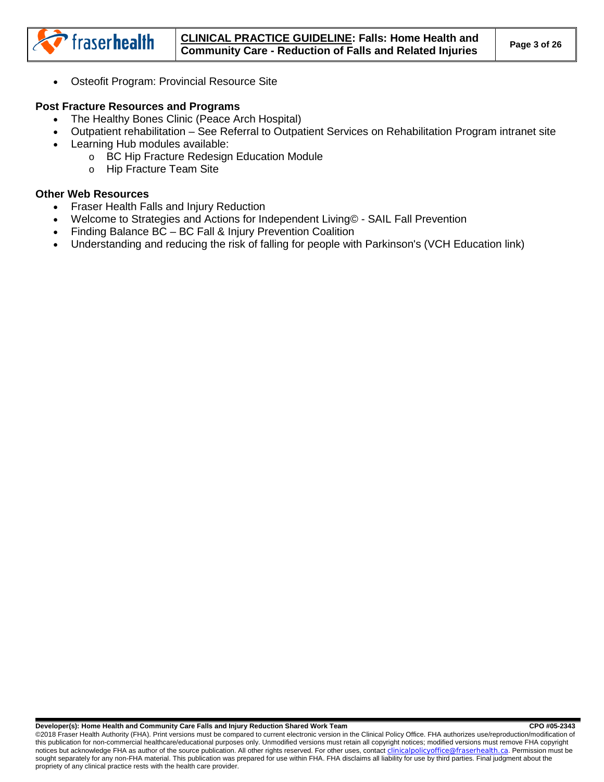• [Osteofit Program: Provincial Resource Site](http://www.bcwomens.ca/our-services/population-health-promotion/osteofit/) 

### **Post Fracture Resources and Programs**

fraserhealth

- [The Healthy Bones Clinic \(Peace Arch Hospital\)](https://patienteduc.fraserhealth.ca/search/results/58984)
- Outpatient rehabilitation See Referral to Outpatient Services on [Rehabilitation Program intranet site](http://fhpulse/clinical_programs/rehabilitation_and_centralized_allied_health_services/Pages/Default.aspx)
- Learning Hub modules available:
	- o [BC Hip Fracture Redesign Education Module](https://learninghub.phsa.ca/Courses/15888)
		- o [Hip Fracture Team Site](https://learninghub.phsa.ca/Courses/15995)

### **Other Web Resources**

- [Fraser Health Falls and Injury Reduction](http://fhpulse/quality_and_patient_safety/regional_falls_and_injury_prevention/)
- [Welcome to Strategies and Actions for Independent Living© -](http://sailfallprevention.ca/) SAIL Fall Prevention
- Finding Balance BC [BC Fall & Injury Prevention Coalition](http://findingbalancebc.ca/home/)
- Understanding and reducing the risk of falling for people with Parkinson's (VCH Education link)

#### Developer(s): Home Health and Community Care Falls and Injury Reduction Shared Work Team **COM 195-2343** CPO #05-2343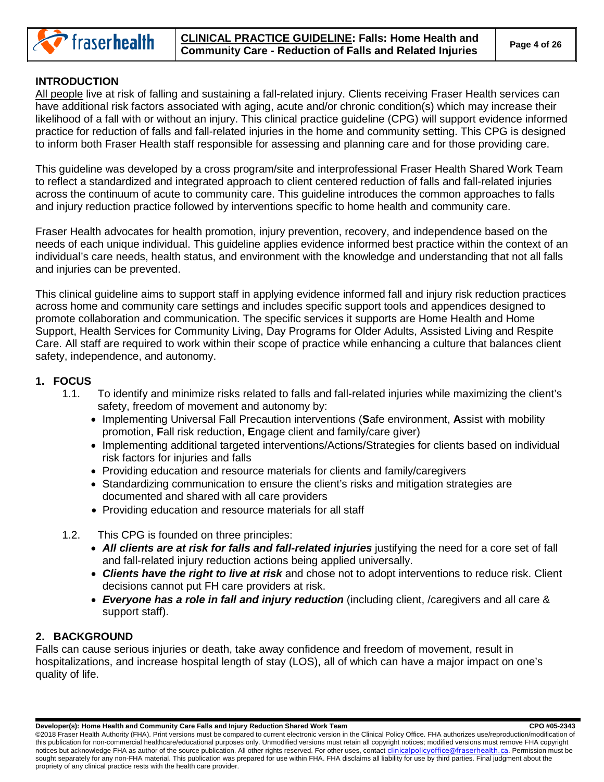

# <span id="page-3-0"></span>**INTRODUCTION**

All people live at risk of falling and sustaining a fall-related injury. Clients receiving Fraser Health services can have additional risk factors associated with aging, acute and/or chronic condition(s) which may increase their likelihood of a fall with or without an injury. This clinical practice guideline (CPG) will support evidence informed practice for reduction of falls and fall-related injuries in the home and community setting. This CPG is designed to inform both Fraser Health staff responsible for assessing and planning care and for those providing care.

This guideline was developed by a cross program/site and interprofessional Fraser Health Shared Work Team to reflect a standardized and integrated approach to client centered reduction of falls and fall-related injuries across the continuum of acute to community care. This guideline introduces the common approaches to falls and injury reduction practice followed by interventions specific to home health and community care.

Fraser Health advocates for health promotion, injury prevention, recovery, and independence based on the needs of each unique individual. This guideline applies evidence informed best practice within the context of an individual's care needs, health status, and environment with the knowledge and understanding that not all falls and injuries can be prevented.

This clinical guideline aims to support staff in applying evidence informed fall and injury risk reduction practices across home and community care settings and includes specific support tools and appendices designed to promote collaboration and communication. The specific services it supports are Home Health and Home Support, Health Services for Community Living, Day Programs for Older Adults, Assisted Living and Respite Care. All staff are required to work within their scope of practice while enhancing a culture that balances client safety, independence, and autonomy.

# <span id="page-3-1"></span>**1. FOCUS**

- 1.1. To identify and minimize risks related to falls and fall-related injuries while maximizing the client's safety, freedom of movement and autonomy by:
	- Implementing Universal Fall Precaution interventions (**S**afe environment, **A**ssist with mobility promotion, **F**all risk reduction, **E**ngage client and family/care giver)
	- Implementing additional targeted interventions/Actions/Strategies for clients based on individual risk factors for injuries and falls
	- Providing education and resource materials for clients and family/caregivers
	- Standardizing communication to ensure the client's risks and mitigation strategies are documented and shared with all care providers
	- Providing education and resource materials for all staff
- 1.2. This CPG is founded on three principles:
	- *All clients are at risk for falls and fall-related injuries* justifying the need for a core set of fall and fall-related injury reduction actions being applied universally.
	- *Clients have the right to live at risk* and chose not to adopt interventions to reduce risk. Client decisions cannot put FH care providers at risk.
	- *Everyone has a role in fall and injury reduction* (including client, /caregivers and all care & support staff).

# <span id="page-3-2"></span>**2. BACKGROUND**

Falls can cause serious injuries or death, take away confidence and freedom of movement, result in hospitalizations, and increase hospital length of stay (LOS), all of which can have a major impact on one's quality of life.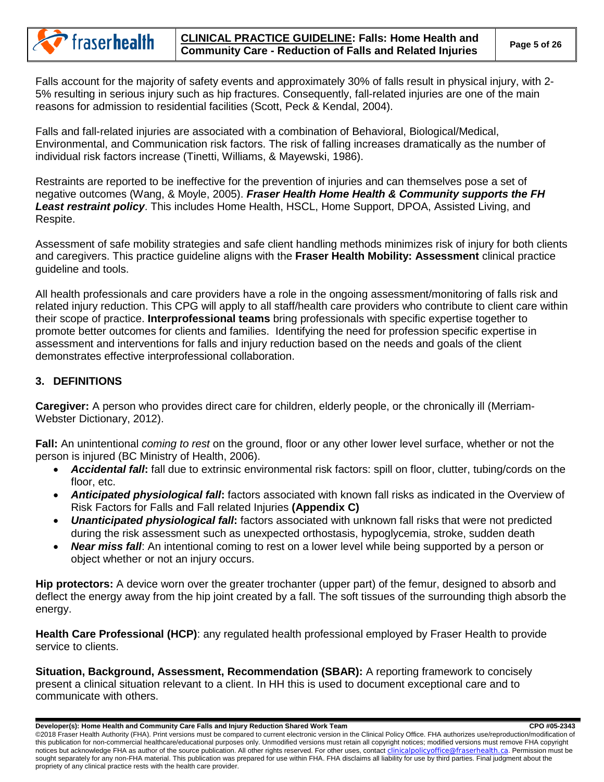

Falls account for the majority of safety events and approximately 30% of falls result in physical injury, with 2- 5% resulting in serious injury such as hip fractures. Consequently, fall-related injuries are one of the main reasons for admission to residential facilities (Scott, Peck & Kendal, 2004).

Falls and fall-related injuries are associated with a combination of Behavioral, Biological/Medical, Environmental, and Communication risk factors. The risk of falling increases dramatically as the number of individual risk factors increase (Tinetti, Williams, & Mayewski, 1986).

Restraints are reported to be ineffective for the prevention of injuries and can themselves pose a set of negative outcomes (Wang, & Moyle, 2005). *Fraser Health Home Health & Community supports the FH Least restraint policy*. This includes Home Health, HSCL, Home Support, DPOA, Assisted Living, and Respite.

Assessment of safe mobility strategies and safe client handling methods minimizes risk of injury for both clients and caregivers. This practice guideline aligns with the **Fraser Health Mobility: Assessment** clinical practice guideline and tools.

All health professionals and care providers have a role in the ongoing assessment/monitoring of falls risk and related injury reduction. This CPG will apply to all staff/health care providers who contribute to client care within their scope of practice. **Interprofessional teams** bring professionals with specific expertise together to promote better outcomes for clients and families. Identifying the need for profession specific expertise in assessment and interventions for falls and injury reduction based on the needs and goals of the client demonstrates effective interprofessional collaboration.

# <span id="page-4-0"></span>**3. DEFINITIONS**

**Caregiver:** A person who provides direct care for children, elderly people, or the chronically ill (Merriam-Webster Dictionary, 2012).

**Fall:** An unintentional *coming to rest* on the ground, floor or any other lower level surface, whether or not the person is injured (BC Ministry of Health, 2006).

- *Accidental fall***:** fall due to extrinsic environmental risk factors: spill on floor, clutter, tubing/cords on the floor, etc.
- *Anticipated physiological fall***:** factors associated with known fall risks as indicated in the Overview of Risk Factors for Falls and Fall related Injuries **(Appendix C)**
- *Unanticipated physiological fall***:** factors associated with unknown fall risks that were not predicted during the risk assessment such as unexpected orthostasis, hypoglycemia, stroke, sudden death
- *Near miss fall*: An intentional coming to rest on a lower level while being supported by a person or object whether or not an injury occurs.

**Hip protectors:** A device worn over the greater trochanter (upper part) of the femur, designed to absorb and deflect the energy away from the hip joint created by a fall. The soft tissues of the surrounding thigh absorb the energy.

**Health Care Professional (HCP)**: any regulated health professional employed by Fraser Health to provide service to clients.

**Situation, Background, Assessment, Recommendation (SBAR):** A reporting framework to concisely present a clinical situation relevant to a client. In HH this is used to document exceptional care and to communicate with others.

**Developer(s): Home Health and Community Care Falls and Injury Reduction Shared Work Team CRO #05-2343** CPO #05-2343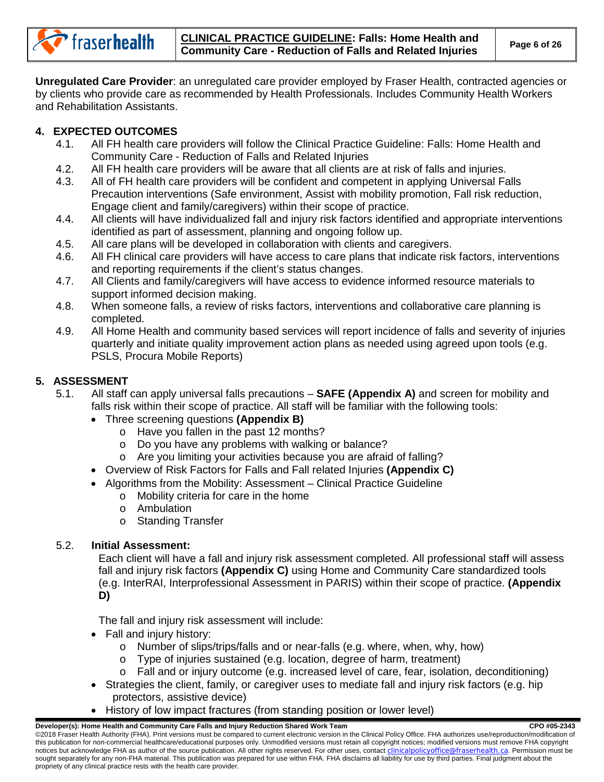

**Unregulated Care Provider**: an unregulated care provider employed by Fraser Health, contracted agencies or by clients who provide care as recommended by Health Professionals. Includes Community Health Workers and Rehabilitation Assistants.

# <span id="page-5-0"></span>**4. EXPECTED OUTCOMES**

- 4.1. All FH health care providers will follow the Clinical Practice Guideline: Falls: Home Health and Community Care - Reduction of Falls and Related Injuries
- 4.2. All FH health care providers will be aware that all clients are at risk of falls and injuries.<br>4.3. All of FH health care providers will be confident and competent in applying Universal Fa
- All of FH health care providers will be confident and competent in applying Universal Falls Precaution interventions (Safe environment, Assist with mobility promotion, Fall risk reduction, Engage client and family/caregivers) within their scope of practice.
- 4.4. All clients will have individualized fall and injury risk factors identified and appropriate interventions identified as part of assessment, planning and ongoing follow up.
- 4.5. All care plans will be developed in collaboration with clients and caregivers.
- 4.6. All FH clinical care providers will have access to care plans that indicate risk factors, interventions and reporting requirements if the client's status changes.
- 4.7. All Clients and family/caregivers will have access to evidence informed resource materials to support informed decision making.
- 4.8. When someone falls, a review of risks factors, interventions and collaborative care planning is completed.
- 4.9. All Home Health and community based services will report incidence of falls and severity of injuries quarterly and initiate quality improvement action plans as needed using agreed upon tools (e.g. PSLS, Procura Mobile Reports)

# <span id="page-5-1"></span>**5. ASSESSMENT**

- 5.1. All staff can apply universal falls precautions **SAFE (Appendix A)** and screen for mobility and falls risk within their scope of practice. All staff will be familiar with the following tools:
	- Three screening questions **(Appendix B)**
		- o Have you fallen in the past 12 months?
		- o Do you have any problems with walking or balance?
		- o Are you limiting your activities because you are afraid of falling?
	- Overview of Risk Factors for Falls and Fall related Injuries **(Appendix C)**
	- Algorithms from the Mobility: Assessment Clinical Practice Guideline
		- o Mobility criteria for care in the home
		- o Ambulation
		- o Standing Transfer

# 5.2. **Initial Assessment:**

Each client will have a fall and injury risk assessment completed. All professional staff will assess fall and injury risk factors **(Appendix C)** using Home and Community Care standardized tools (e.g. InterRAI, Interprofessional Assessment in PARIS) within their scope of practice. **(Appendix D)**

The fall and injury risk assessment will include:

- Fall and injury history:
	- o Number of slips/trips/falls and or near-falls (e.g. where, when, why, how)
	- o Type of injuries sustained (e.g. location, degree of harm, treatment)
	- $\circ$  Fall and or injury outcome (e.g. increased level of care, fear, isolation, deconditioning)
- Strategies the client, family, or caregiver uses to mediate fall and injury risk factors (e.g. hip protectors, assistive device)
- History of low impact fractures (from standing position or lower level)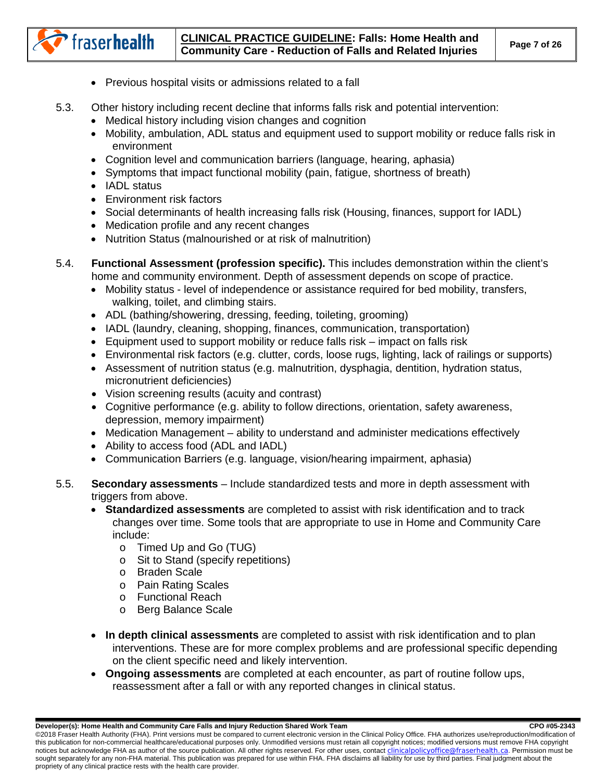### **CLINICAL PRACTICE GUIDELINE: Falls: Home Health and Community Care - Reduction of Falls and Related Injuries Page 7 of 26**

- Previous hospital visits or admissions related to a fall
- 5.3. Other history including recent decline that informs falls risk and potential intervention:
	- Medical history including vision changes and cognition
	- Mobility, ambulation, ADL status and equipment used to support mobility or reduce falls risk in environment
	- Cognition level and communication barriers (language, hearing, aphasia)
	- Symptoms that impact functional mobility (pain, fatigue, shortness of breath)
	- IADL status

fraserhealth

- Environment risk factors
- Social determinants of health increasing falls risk (Housing, finances, support for IADL)
- Medication profile and any recent changes
- Nutrition Status (malnourished or at risk of malnutrition)
- 5.4. **Functional Assessment (profession specific).** This includes demonstration within the client's home and community environment. Depth of assessment depends on scope of practice.
	- Mobility status level of independence or assistance required for bed mobility, transfers, walking, toilet, and climbing stairs.
	- ADL (bathing/showering, dressing, feeding, toileting, grooming)
	- IADL (laundry, cleaning, shopping, finances, communication, transportation)
	- Equipment used to support mobility or reduce falls risk impact on falls risk
	- Environmental risk factors (e.g. clutter, cords, loose rugs, lighting, lack of railings or supports)
	- Assessment of nutrition status (e.g. malnutrition, dysphagia, dentition, hydration status, micronutrient deficiencies)
	- Vision screening results (acuity and contrast)
	- Cognitive performance (e.g. ability to follow directions, orientation, safety awareness, depression, memory impairment)
	- Medication Management ability to understand and administer medications effectively
	- Ability to access food (ADL and IADL)
	- Communication Barriers (e.g. language, vision/hearing impairment, aphasia)
- 5.5. **Secondary assessments** Include standardized tests and more in depth assessment with triggers from above.
	- **Standardized assessments** are completed to assist with risk identification and to track changes over time. Some tools that are appropriate to use in Home and Community Care include:
		- o Timed Up and Go (TUG)
		- o Sit to Stand (specify repetitions)
		- o Braden Scale
		- o Pain Rating Scales
		- o Functional Reach
		- o Berg Balance Scale
	- **In depth clinical assessments** are completed to assist with risk identification and to plan interventions. These are for more complex problems and are professional specific depending on the client specific need and likely intervention.
	- **Ongoing assessments** are completed at each encounter, as part of routine follow ups, reassessment after a fall or with any reported changes in clinical status.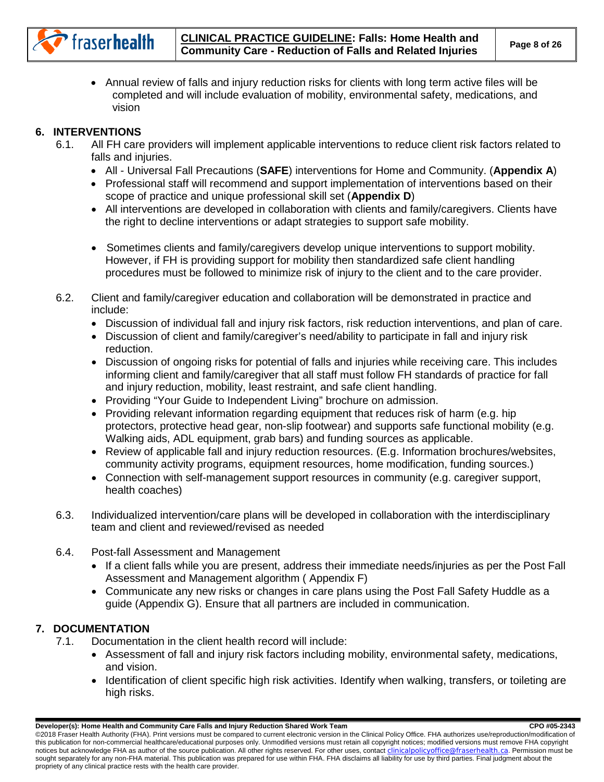

• Annual review of falls and injury reduction risks for clients with long term active files will be completed and will include evaluation of mobility, environmental safety, medications, and vision

# <span id="page-7-0"></span>**6. INTERVENTIONS**

- 6.1. All FH care providers will implement applicable interventions to reduce client risk factors related to falls and injuries.
	- All Universal Fall Precautions (**SAFE**) interventions for Home and Community. (**Appendix A**)
	- Professional staff will recommend and support implementation of interventions based on their scope of practice and unique professional skill set (**Appendix D**)
	- All interventions are developed in collaboration with clients and family/caregivers. Clients have the right to decline interventions or adapt strategies to support safe mobility.
	- Sometimes clients and family/caregivers develop unique interventions to support mobility. However, if FH is providing support for mobility then standardized safe client handling procedures must be followed to minimize risk of injury to the client and to the care provider.
- 6.2. Client and family/caregiver education and collaboration will be demonstrated in practice and include:
	- Discussion of individual fall and injury risk factors, risk reduction interventions, and plan of care.
	- Discussion of client and family/caregiver's need/ability to participate in fall and injury risk reduction.
	- Discussion of ongoing risks for potential of falls and injuries while receiving care. This includes informing client and family/caregiver that all staff must follow FH standards of practice for fall and injury reduction, mobility, least restraint, and safe client handling.
	- Providing "Your Guide to Independent Living" brochure on admission.
	- Providing relevant information regarding equipment that reduces risk of harm (e.g. hip protectors, protective head gear, non-slip footwear) and supports safe functional mobility (e.g. Walking aids, ADL equipment, grab bars) and funding sources as applicable.
	- Review of applicable fall and injury reduction resources. (E.g. Information brochures/websites, community activity programs, equipment resources, home modification, funding sources.)
	- Connection with self-management support resources in community (e.g. caregiver support, health coaches)
- 6.3. Individualized intervention/care plans will be developed in collaboration with the interdisciplinary team and client and reviewed/revised as needed
- 6.4. Post-fall Assessment and Management
	- If a client falls while you are present, address their immediate needs/injuries as per the Post Fall Assessment and Management algorithm ( Appendix F)
	- Communicate any new risks or changes in care plans using the Post Fall Safety Huddle as a guide (Appendix G). Ensure that all partners are included in communication.

# <span id="page-7-1"></span>**7. DOCUMENTATION**

- 7.1. Documentation in the client health record will include:
	- Assessment of fall and injury risk factors including mobility, environmental safety, medications, and vision.
	- Identification of client specific high risk activities. Identify when walking, transfers, or toileting are high risks.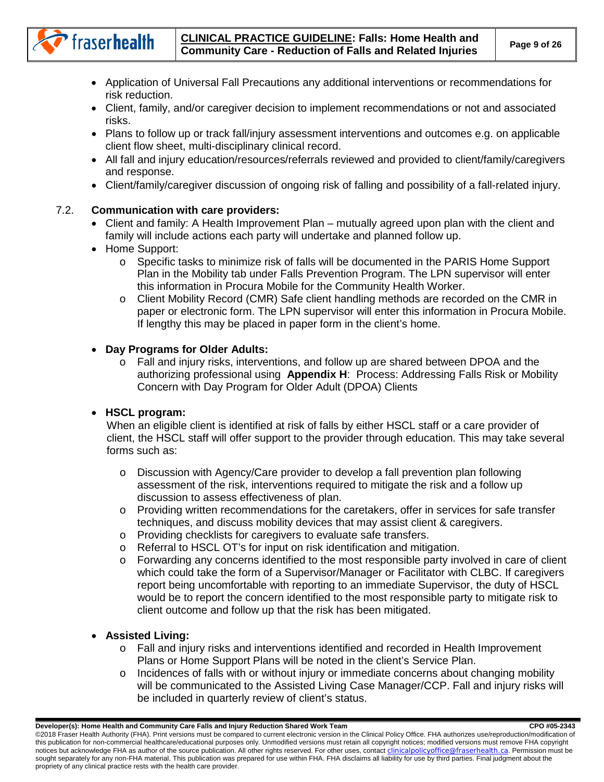# **CLINICAL PRACTICE GUIDELINE: Falls: Home Health and Community Care - Reduction of Falls and Related Injuries Page 9 of 26**

- Application of Universal Fall Precautions any additional interventions or recommendations for risk reduction.
- Client, family, and/or caregiver decision to implement recommendations or not and associated risks.
- Plans to follow up or track fall/injury assessment interventions and outcomes e.g. on applicable client flow sheet, multi-disciplinary clinical record.
- All fall and injury education/resources/referrals reviewed and provided to client/family/caregivers and response.
- Client/family/caregiver discussion of ongoing risk of falling and possibility of a fall-related injury.

# 7.2. **Communication with care providers:**

- Client and family: A Health Improvement Plan mutually agreed upon plan with the client and family will include actions each party will undertake and planned follow up.
- Home Support:

fraserhealth

- o Specific tasks to minimize risk of falls will be documented in the PARIS Home Support Plan in the Mobility tab under Falls Prevention Program. The LPN supervisor will enter this information in Procura Mobile for the Community Health Worker.
- o Client Mobility Record (CMR) Safe client handling methods are recorded on the CMR in paper or electronic form. The LPN supervisor will enter this information in Procura Mobile. If lengthy this may be placed in paper form in the client's home.

# • **Day Programs for Older Adults:**

o Fall and injury risks, interventions, and follow up are shared between DPOA and the authorizing professional using **Appendix H**: Process: Addressing Falls Risk or Mobility Concern with Day Program for Older Adult (DPOA) Clients

# • **HSCL program:**

When an eligible client is identified at risk of falls by either HSCL staff or a care provider of client, the HSCL staff will offer support to the provider through education. This may take several forms such as:

- o Discussion with Agency/Care provider to develop a fall prevention plan following assessment of the risk, interventions required to mitigate the risk and a follow up discussion to assess effectiveness of plan.
- o Providing written recommendations for the caretakers, offer in services for safe transfer techniques, and discuss mobility devices that may assist client & caregivers.
- o Providing checklists for caregivers to evaluate safe transfers.
- o Referral to HSCL OT's for input on risk identification and mitigation.
- o Forwarding any concerns identified to the most responsible party involved in care of client which could take the form of a Supervisor/Manager or Facilitator with CLBC. If caregivers report being uncomfortable with reporting to an immediate Supervisor, the duty of HSCL would be to report the concern identified to the most responsible party to mitigate risk to client outcome and follow up that the risk has been mitigated.

# • **Assisted Living:**

- o Fall and injury risks and interventions identified and recorded in Health Improvement Plans or Home Support Plans will be noted in the client's Service Plan.
- o Incidences of falls with or without injury or immediate concerns about changing mobility will be communicated to the Assisted Living Case Manager/CCP. Fall and injury risks will be included in quarterly review of client's status.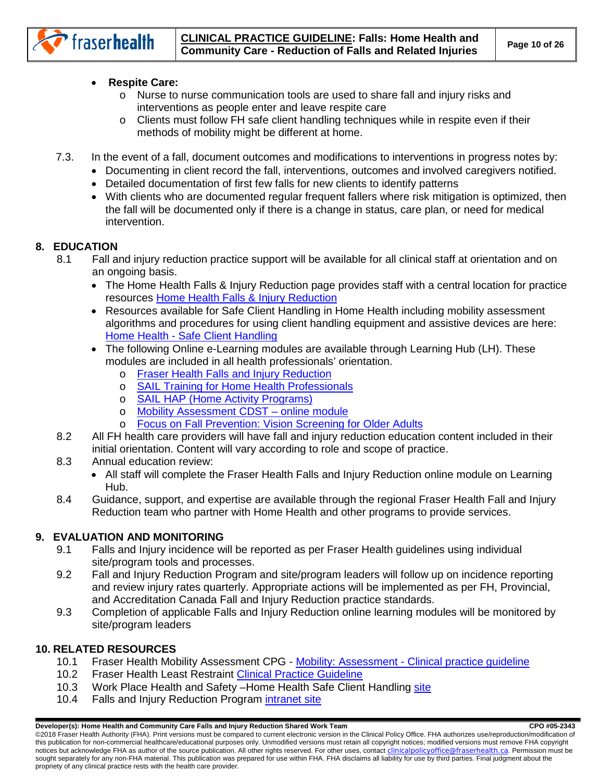

• **Respite Care:** 

fraserhealth

- o Nurse to nurse communication tools are used to share fall and injury risks and interventions as people enter and leave respite care
- o Clients must follow FH safe client handling techniques while in respite even if their methods of mobility might be different at home.
- 7.3. In the event of a fall, document outcomes and modifications to interventions in progress notes by:
	- Documenting in client record the fall, interventions, outcomes and involved caregivers notified.
	- Detailed documentation of first few falls for new clients to identify patterns
	- With clients who are documented regular frequent fallers where risk mitigation is optimized, then the fall will be documented only if there is a change in status, care plan, or need for medical intervention.

# <span id="page-9-0"></span>**8. EDUCATION**

- 8.1 Fall and injury reduction practice support will be available for all clinical staff at orientation and on an ongoing basis.
	- The Home Health Falls & Injury Reduction page provides staff with a central location for practice resources [Home Health Falls & Injury Reduction](http://fhpulse/clinical_programs/home_health/resources/education/Pages/FallsInjuryReduction.aspx)
	- Resources available for Safe Client Handling in Home Health including mobility assessment algorithms and procedures for using client handling equipment and assistive devices are here: Home Health - [Safe Client Handling](http://fhpulse/workplace_health_safety/safety_and_prevention/safe_client_handling/Pages/HomeHealth-SafeClientHandling.aspx)
	- The following Online e-Learning modules are available through Learning Hub (LH). These modules are included in all health professionals' orientation.
		- o Fraser Health [Falls and Injury Reduction](https://learninghub.phsa.ca/Courses/12171/fraser-health-falls-and-injury-reduction-introduction-online)
		- o [SAIL Training for Home Health Professionals](https://learninghub.phsa.ca/Courses/11766/sail-training-for-home-health-professionals-hhp)
		- o [SAIL HAP \(Home Activity Programs\)](https://learninghub.phsa.ca/Courses/11765/sail-home-activity-program-hap)
		- o [Mobility Assessment CDST –](https://learninghub.phsa.ca/Courses/15583/mobility-assessment-clinical-practice-guideline-paq) online module
		- o [Focus on Fall Prevention: Vision Screening for Older Adults](http://learninghub.phsa.ca/moodle/enrol/index.php?id=2586)
- 8.2 All FH health care providers will have fall and injury reduction education content included in their initial orientation. Content will vary according to role and scope of practice.
- 8.3 Annual education review:
	- All staff will complete the Fraser Health Falls and Injury Reduction online module on Learning Hub.
- 8.4 Guidance, support, and expertise are available through the regional Fraser Health Fall and Injury Reduction team who partner with Home Health and other programs to provide services.

# <span id="page-9-1"></span>**9. EVALUATION AND MONITORING**

- 9.1 Falls and Injury incidence will be reported as per Fraser Health guidelines using individual site/program tools and processes.
- 9.2 Fall and Injury Reduction Program and site/program leaders will follow up on incidence reporting and review injury rates quarterly. Appropriate actions will be implemented as per FH, Provincial, and Accreditation Canada Fall and Injury Reduction practice standards.
- 9.3 Completion of applicable Falls and Injury Reduction online learning modules will be monitored by site/program leaders

# <span id="page-9-2"></span>**10. RELATED RESOURCES**

- 10.1 Fraser Health Mobility Assessment CPG Mobility: Assessment [Clinical practice guideline](http://fhpulse/clinical_resources/clinical_policy_office/Documents/0435/CPG.pdf)
- 10.2 Fraser Health Least Restraint [Clinical Practice Guideline](http://fhpulse/clinical_resources/clinical_policy_office/Lists/CDST%20Library/DispForm.aspx?ID=99)
- 10.3 Work Place Health and Safety Home Health Safe Client Handling [site](http://fhpulse/workplace_health_safety/safety_and_prevention/safe_client_handling/Pages/SafeClientHandlingManual.aspx)
- 10.4 Falls and Injury Reduction Program [intranet site](http://fhpulse/quality_and_patient_safety/regional_falls_and_injury_prevention/Pages/Default.aspx)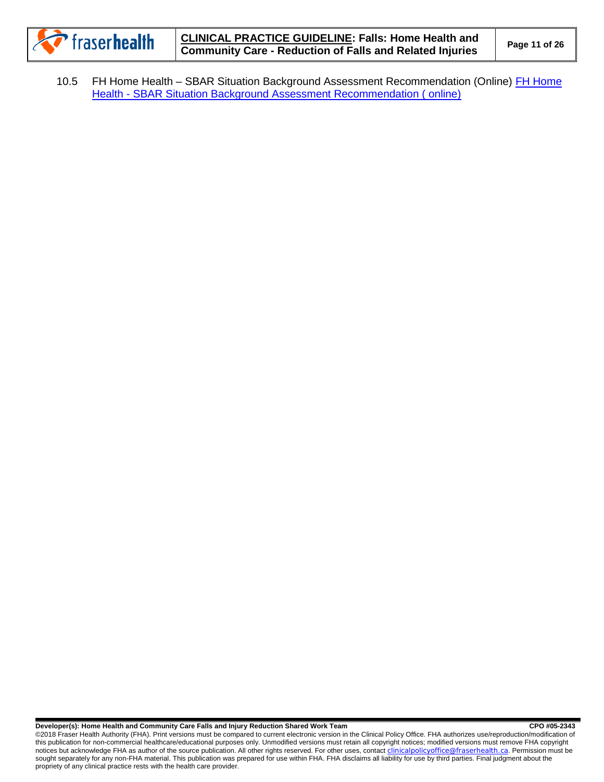

10.5 FH Home Health – SBAR Situation Background Assessment Recommendation (Online) [FH Home](https://learninghub.phsa.ca/Courses/11040/fh-home-health-sbar-situation-background-assessment-recommendation-online)  Health - [SBAR Situation Background Assessment Recommendation \( online\)](https://learninghub.phsa.ca/Courses/11040/fh-home-health-sbar-situation-background-assessment-recommendation-online)

#### **Developer(s): Home Health and Community Care Falls and Injury Reduction Shared Work Team CPO #05-2343** CPO #05-2343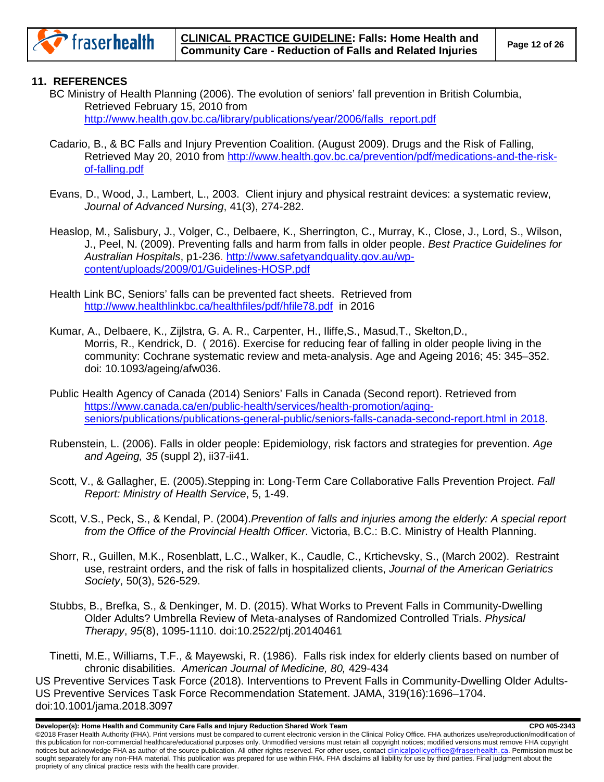

# <span id="page-11-0"></span>**11. REFERENCES**

- BC Ministry of Health Planning (2006). The evolution of seniors' fall prevention in British Columbia, Retrieved February 15, 2010 from [http://www.health.gov.bc.ca/library/publications/year/2006/falls\\_report.pdf](http://www.health.gov.bc.ca/library/publications/year/2006/falls_report.pdf)
- Cadario, B., & BC Falls and Injury Prevention Coalition. (August 2009). Drugs and the Risk of Falling, Retrieved May 20, 2010 from [http://www.health.gov.bc.ca/prevention/pdf/medications-and-the-risk](http://www.health.gov.bc.ca/prevention/pdf/medications-and-the-risk-of-falling.pdf)[of-falling.pdf](http://www.health.gov.bc.ca/prevention/pdf/medications-and-the-risk-of-falling.pdf)
- Evans, D., Wood, J., Lambert, L., 2003. Client injury and physical restraint devices: a systematic review, *Journal of Advanced Nursing*, 41(3), 274-282.
- Heaslop, M., Salisbury, J., Volger, C., Delbaere, K., Sherrington, C., Murray, K., Close, J., Lord, S., Wilson, J., Peel, N. (2009). Preventing falls and harm from falls in older people. *Best Practice Guidelines for Australian Hospitals*, p1-236. [http://www.safetyandquality.gov.au/wp](http://www.safetyandquality.gov.au/wp-content/uploads/2009/01/Guidelines-HOSP.pdf)[content/uploads/2009/01/Guidelines-HOSP.pdf](http://www.safetyandquality.gov.au/wp-content/uploads/2009/01/Guidelines-HOSP.pdf)
- Health Link BC, Seniors' falls can be prevented fact sheets. Retrieved from <http://www.healthlinkbc.ca/healthfiles/pdf/hfile78.pdf>in 2016
- Kumar, A., Delbaere, K., Zijlstra, G. A. R., Carpenter, H., Iliffe,S., Masud,T., Skelton,D., Morris, R., Kendrick, D. ( 2016). Exercise for reducing fear of falling in older people living in the community: Cochrane systematic review and meta-analysis. Age and Ageing 2016; 45: 345–352. doi: 10.1093/ageing/afw036.
- Public Health Agency of Canada (2014) Seniors' Falls in Canada (Second report). Retrieved from [https://www.canada.ca/en/public-health/services/health-promotion/aging](https://www.canada.ca/en/public-health/services/health-promotion/aging-seniors/publications/publications-general-public/seniors-falls-canada-second-report.html%20in%202018)[seniors/publications/publications-general-public/seniors-falls-canada-second-report.html in 2018.](https://www.canada.ca/en/public-health/services/health-promotion/aging-seniors/publications/publications-general-public/seniors-falls-canada-second-report.html%20in%202018)
- Rubenstein, L. (2006). Falls in older people: Epidemiology, risk factors and strategies for prevention. *Age and Ageing, 35* (suppl 2), ii37-ii41.
- Scott, V., & Gallagher, E. (2005).Stepping in: Long-Term Care Collaborative Falls Prevention Project. *Fall Report: Ministry of Health Service*, 5, 1-49.
- Scott, V.S., Peck, S., & Kendal, P. (2004).*Prevention of falls and injuries among the elderly: A special report from the Office of the Provincial Health Officer*. Victoria, B.C.: B.C. Ministry of Health Planning.
- Shorr, R., Guillen, M.K., Rosenblatt, L.C., Walker, K., Caudle, C., Krtichevsky, S., (March 2002). Restraint use, restraint orders, and the risk of falls in hospitalized clients, *Journal of the American Geriatrics Society*, 50(3), 526-529.
- Stubbs, B., Brefka, S., & Denkinger, M. D. (2015). What Works to Prevent Falls in Community-Dwelling Older Adults? Umbrella Review of Meta-analyses of Randomized Controlled Trials. *Physical Therapy*, *95*(8), 1095-1110. doi:10.2522/ptj.20140461

Tinetti, M.E., Williams, T.F., & Mayewski, R. (1986). Falls risk index for elderly clients based on number of chronic disabilities. *American Journal of Medicine, 80,* 429-434 US Preventive Services Task Force (2018). Interventions to Prevent Falls in Community-Dwelling Older Adults-US Preventive Services Task Force Recommendation Statement. JAMA, 319(16):1696–1704. doi:10.1001/jama.2018.3097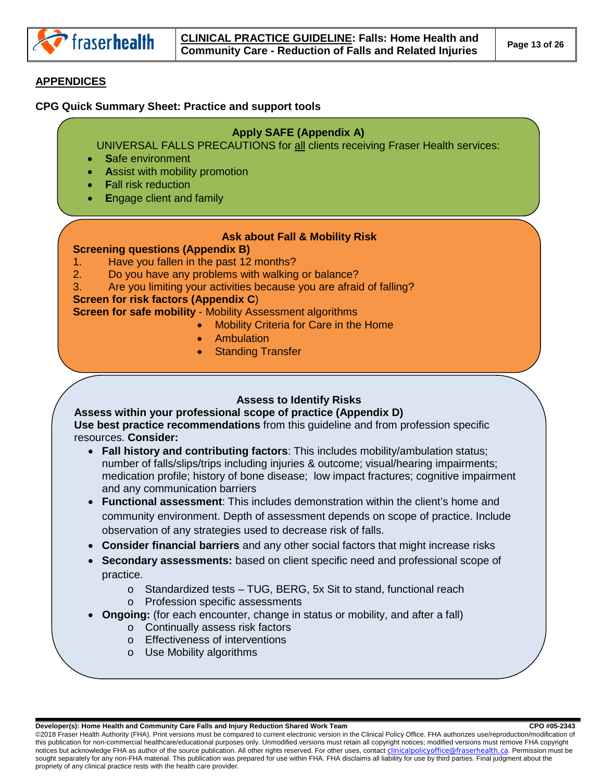

# <span id="page-12-0"></span>**APPENDICES**

#### <span id="page-12-1"></span>**CPG Quick Summary Sheet: Practice and support tools**

### **Apply SAFE (Appendix A)**

UNIVERSAL FALLS PRECAUTIONS for all clients receiving Fraser Health services:

- **S**afe environment
- **Assist with mobility promotion**
- **F**all risk reduction
- **E**ngage client and family

### **Ask about Fall & Mobility Risk**

### **Screening questions (Appendix B)**

- 1. Have you fallen in the past 12 months?
- 2. Do you have any problems with walking or balance?
- 3. Are you limiting your activities because you are afraid of falling?

### **Screen for risk factors (Appendix C**)

**Screen for safe mobility** - Mobility Assessment algorithms

- Mobility Criteria for Care in the Home
	- **Ambulation**
	- **Standing Transfer**

# **Assess to Identify Risks**

**Assess within your professional scope of practice (Appendix D) Use best practice recommendations** from this guideline and from profession specific resources. **Consider:** 

- **Fall history and contributing factors**: This includes mobility/ambulation status; number of falls/slips/trips including injuries & outcome; visual/hearing impairments; medication profile; history of bone disease; low impact fractures; cognitive impairment and any communication barriers
- observation of any strategies used to decrease risk of falls. • **Functional assessment**: This includes demonstration within the client's home and community environment. Depth of assessment depends on scope of practice. Include
- **Consider financial barriers** and any other social factors that might increase risks
- **Secondary assessments:** based on client specific need and professional scope of practice.
	- o Standardized tests TUG, BERG, 5x Sit to stand, functional reach o Profession specific assessments
	- **Ongoing:** (for each encounter, change in status or mobility, and after a fall)
		- o Continually assess risk factors
		- o Effectiveness of interventions
		- o Use Mobility algorithms

Developer(s): Home Health and Community Care Falls and Injury Reduction Shared Work Team **COM 195-2343** CPO #05-2343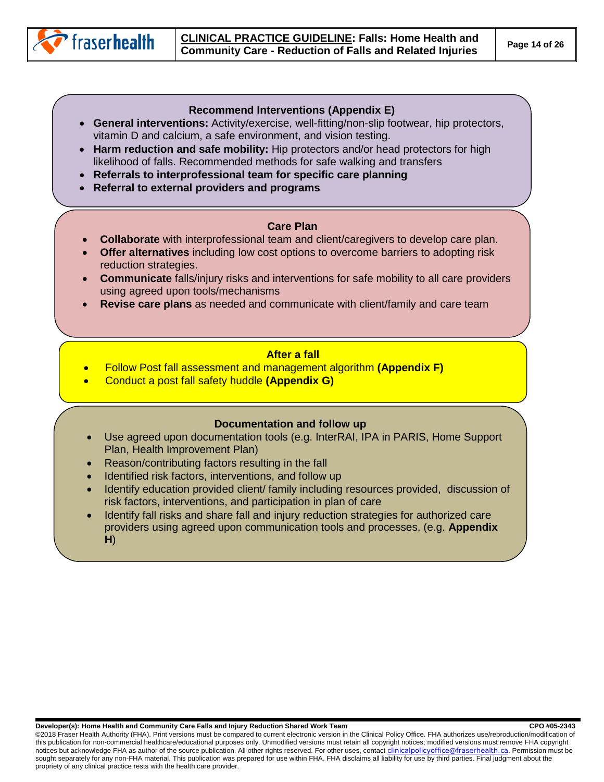

#### **Recommend Interventions (Appendix E)**

- **General interventions:** Activity/exercise, well-fitting/non-slip footwear, hip protectors, vitamin D and calcium, a safe environment, and vision testing.
- **Harm reduction and safe mobility:** Hip protectors and/or head protectors for high likelihood of falls. Recommended methods for safe walking and transfers
- **Referrals to interprofessional team for specific care planning**
- **Referral to external providers and programs**

#### **Care Plan**

- **Collaborate** with interprofessional team and client/caregivers to develop care plan.
- **Offer alternatives** including low cost options to overcome barriers to adopting risk reduction strategies.
- **Communicate** falls/injury risks and interventions for safe mobility to all care providers using agreed upon tools/mechanisms
- **Revise care plans** as needed and communicate with client/family and care team

#### **After a fall**

- Follow Post fall assessment and management algorithm **(Appendix F)**
- Conduct a post fall safety huddle **(Appendix G)**

### **Documentation and follow up**

- Use agreed upon documentation tools (e.g. InterRAI, IPA in PARIS, Home Support Plan, Health Improvement Plan)
- Reason/contributing factors resulting in the fall
- Identified risk factors, interventions, and follow up
- Identify education provided client/ family including resources provided, discussion of risk factors, interventions, and participation in plan of care
- Identify fall risks and share fall and injury reduction strategies for authorized care providers using agreed upon communication tools and processes. (e.g. **Appendix H**)

**Developer(s): Home Health and Community Care Falls and Injury Reduction Shared Work Team CRO #05-2343** CPO #05-2343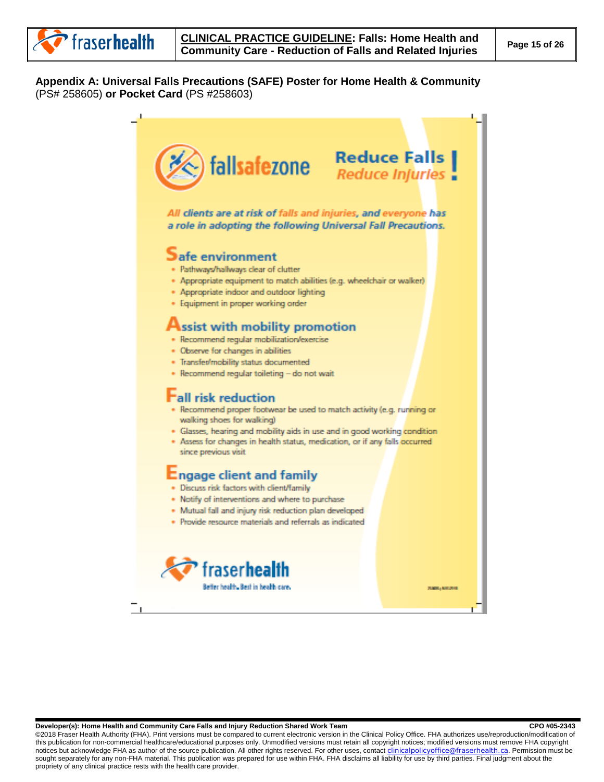

### <span id="page-14-0"></span>**Appendix A: Universal Falls Precautions (SAFE) Poster for Home Health & Community**  (PS# 258605) **or Pocket Card** (PS #258603)



<span id="page-14-1"></span>Developer(s): Home Health and Community Care Falls and Injury Reduction Shared Work Team **COM 195-2343** CPO #05-2343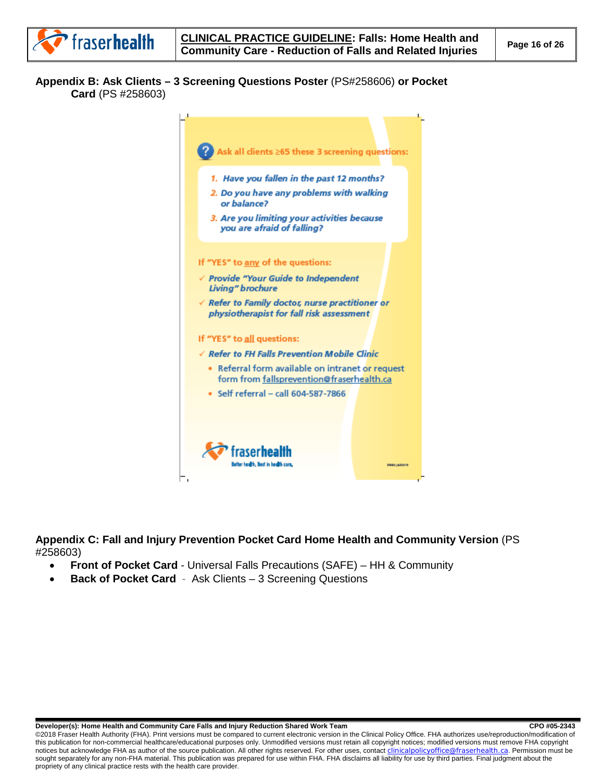### **Appendix B: Ask Clients – 3 Screening Questions Poster** (PS#258606) **or Pocket Card** (PS #258603)



<span id="page-15-0"></span>**Appendix C: Fall and Injury Prevention Pocket Card Home Health and Community Version** (PS #258603)

- **[Front of Pocket Card](http://fhpulse/clinical_resources/clinical_policy_office/Documents/0292/AppC_1.pdf)** Universal Falls Precautions (SAFE) HH & Community
- **[Back of Pocket Card](http://fhpulse/clinical_resources/clinical_policy_office/Documents/0292/AppC_2.pdf)**  Ask Clients 3 Screening Questions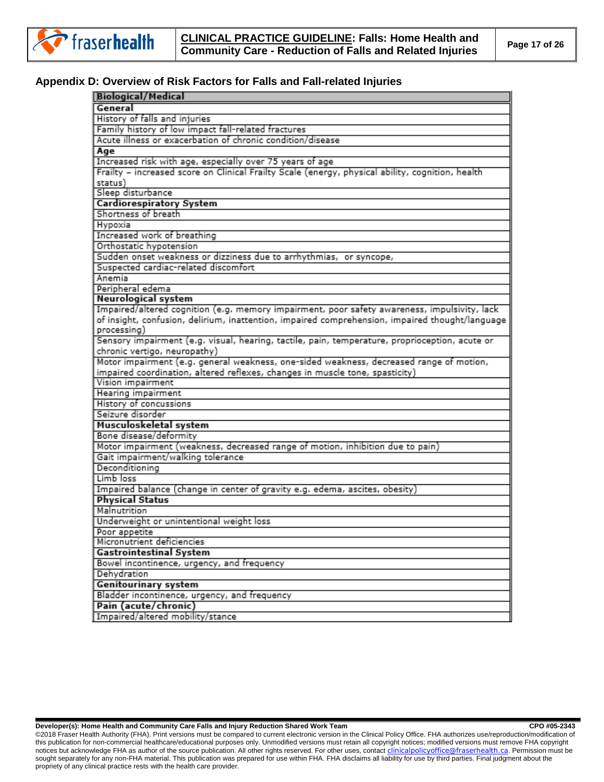

#### <span id="page-16-0"></span>**Appendix D: Overview of Risk Factors for Falls and Fall-related Injuries**

| <b>Biological/Medical</b>                                                                        |
|--------------------------------------------------------------------------------------------------|
| General                                                                                          |
| History of falls and injuries                                                                    |
| Family history of low impact fall-related fractures                                              |
| Acute illness or exacerbation of chronic condition/disease                                       |
| Age                                                                                              |
| Increased risk with age, especially over 75 years of age                                         |
| Frailty - increased score on Clinical Frailty Scale (energy, physical ability, cognition, health |
| status)                                                                                          |
| Sleep disturbance                                                                                |
| <b>Cardiorespiratory System</b>                                                                  |
| Shortness of breath                                                                              |
| Hypoxia                                                                                          |
| Increased work of breathing                                                                      |
| Orthostatic hypotension                                                                          |
| Sudden onset weakness or dizziness due to arrhythmias, or syncope,                               |
| Suspected cardiac-related discomfort                                                             |
| Anemia                                                                                           |
| Peripheral edema                                                                                 |
| Neurological system                                                                              |
| Impaired/altered cognition (e.g. memory impairment, poor safety awareness, impulsivity, lack     |
| of insight, confusion, delirium, inattention, impaired comprehension, impaired thought/language  |
| processing)                                                                                      |
| Sensory impairment (e.g. visual, hearing, tactile, pain, temperature, proprioception, acute or   |
| chronic vertigo, neuropathy)                                                                     |
| Motor impairment (e.g. general weakness, one-sided weakness, decreased range of motion,          |
| impaired coordination, altered reflexes, changes in muscle tone, spasticity)                     |
| Vision impairment                                                                                |
| Hearing impairment                                                                               |
| History of concussions                                                                           |
| Seizure disorder                                                                                 |
| Musculoskeletal system                                                                           |
| Bone disease/deformity                                                                           |
| Motor impairment (weakness, decreased range of motion, inhibition due to pain)                   |
| Gait impairment/walking tolerance                                                                |
| Deconditioning                                                                                   |
| Limb loss                                                                                        |
| Impaired balance (change in center of gravity e.g. edema, ascites, obesity)                      |
| <b>Physical Status</b>                                                                           |
| Malnutrition                                                                                     |
| Underweight or unintentional weight loss                                                         |
| Poor appetite                                                                                    |
| Micronutrient deficiencies                                                                       |
| <b>Gastrointestinal System</b>                                                                   |
| Bowel incontinence, urgency, and frequency                                                       |
| Dehydration                                                                                      |
| <b>Genitourinary system</b>                                                                      |
| Bladder incontinence, urgency, and frequency                                                     |
| Pain (acute/chronic)                                                                             |
| Impaired/altered mobility/stance                                                                 |

**Developer(s): Home Health and Community Care Falls and Injury Reduction Shared Work Team CRO #05-2343**<br>
CPO #05-2343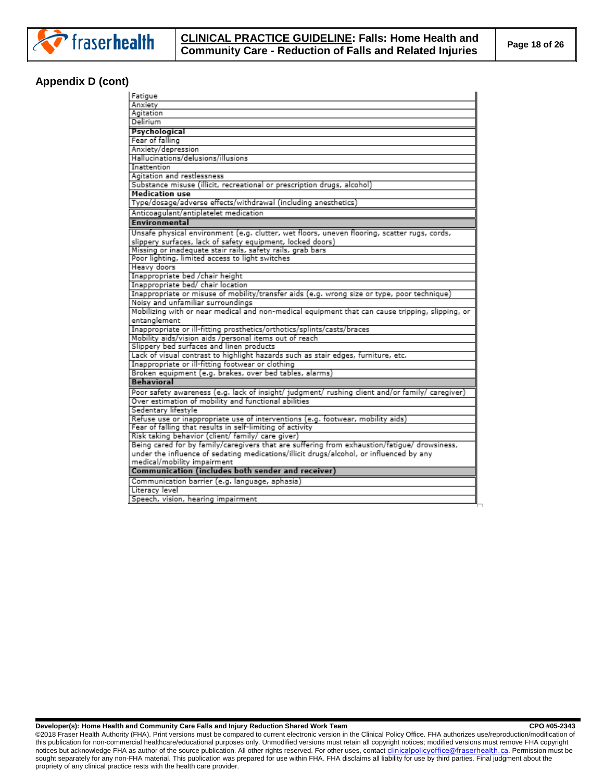

# **Appendix D (cont)**

| Fatigue                                                                                         |
|-------------------------------------------------------------------------------------------------|
| Anxiety                                                                                         |
| Agitation                                                                                       |
| Delirium                                                                                        |
| Psychological                                                                                   |
| Fear of falling                                                                                 |
| Anxiety/depression                                                                              |
| Hallucinations/delusions/illusions                                                              |
| Inattention                                                                                     |
| Agitation and restlessness                                                                      |
| Substance misuse (illicit, recreational or prescription drugs, alcohol)                         |
| <b>Medication use</b>                                                                           |
| Type/dosage/adverse effects/withdrawal (including anesthetics)                                  |
| Anticoagulant/antiplatelet medication                                                           |
| Environmental                                                                                   |
| Unsafe physical environment (e.g. clutter, wet floors, uneven flooring, scatter rugs, cords,    |
| slippery surfaces, lack of safety equipment, locked doors)                                      |
| Missing or inadeguate stair rails, safety rails, grab bars                                      |
| Poor lighting, limited access to light switches                                                 |
| Heavy doors                                                                                     |
| Inappropriate bed /chair height                                                                 |
| Inappropriate bed/ chair location                                                               |
| Inappropriate or misuse of mobility/transfer aids (e.g. wrong size or type, poor technique)     |
| Noisy and unfamiliar surroundings                                                               |
| Mobilizing with or near medical and non-medical equipment that can cause tripping, slipping, or |
| entanglement                                                                                    |
| Inappropriate or ill-fitting prosthetics/orthotics/splints/casts/braces                         |
| Mobility aids/vision aids /personal items out of reach                                          |
| Slippery bed surfaces and linen products                                                        |
| Lack of visual contrast to highlight hazards such as stair edges, furniture, etc.               |
| Inappropriate or ill-fitting footwear or clothing                                               |
| Broken equipment (e.g. brakes, over bed tables, alarms)                                         |
| <b>Behavioral</b>                                                                               |
| Poor safety awareness (e.g. lack of insight/ judgment/ rushing client and/or family/ caregiver) |
| Over estimation of mobility and functional abilities                                            |
| Sedentary lifestyle                                                                             |
| Refuse use or inappropriate use of interventions (e.g. footwear, mobility aids)                 |
| Fear of falling that results in self-limiting of activity                                       |
| Risk taking behavior (client/ family/ care giver)                                               |
| Being cared for by family/caregivers that are suffering from exhaustion/fatigue/ drowsiness,    |
| under the influence of sedating medications/illicit drugs/alcohol, or influenced by any         |
| medical/mobility impairment                                                                     |
| <b>Communication (includes both sender and receiver)</b>                                        |
| Communication barrier (e.g. language, aphasia)                                                  |
| Literacy level                                                                                  |
| Speech, vision, hearing impairment                                                              |
|                                                                                                 |

**Developer(s): Home Health and Community Care Falls and Injury Reduction Shared Work Team CPO #05-2343**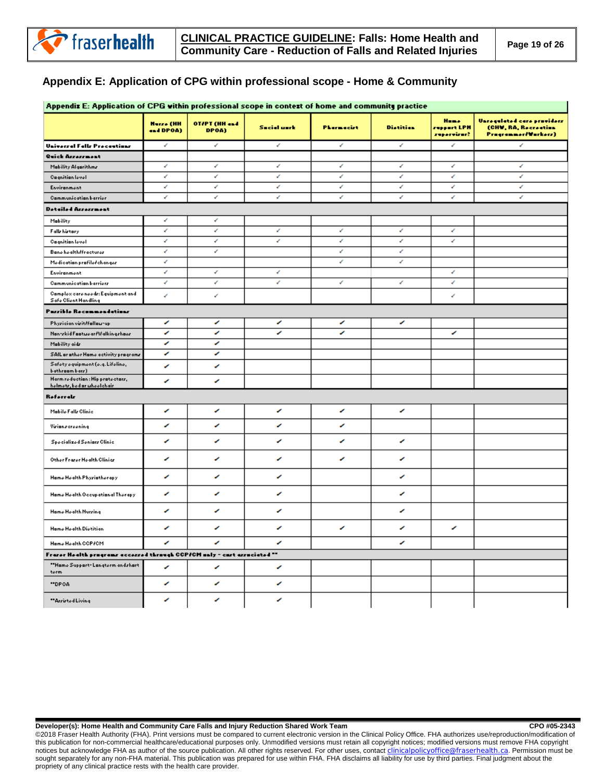

# **Appendix E: Application of CPG within professional scope - Home & Community**

| Appendix E: Application of CPG within professional scope in context of home and community practice |                               |                               |                    |                   |                  |                                    |                                                                           |
|----------------------------------------------------------------------------------------------------|-------------------------------|-------------------------------|--------------------|-------------------|------------------|------------------------------------|---------------------------------------------------------------------------|
|                                                                                                    | <b>Hurze</b> (HH<br>and DPOA) | <b>DAR HH) THYDE</b><br>DPOA) | <b>Secial unrk</b> | <b>Phormocirt</b> | <b>Distition</b> | Home<br>ruppart LPH<br>ruporvirur? | Unregulated care praviders<br>(CHW, RA, Recreation<br>Pragrammer/Warkerz) |
| Universal Falls Precentions                                                                        | ↙                             | v                             | v                  | v                 | v                | ↙                                  | v                                                                         |
| Quick Arressment                                                                                   |                               |                               |                    |                   |                  |                                    |                                                                           |
| Mobility Algorithms                                                                                | ℯ                             | ₽                             | ₽                  | v                 | ٠                | ₽                                  | ✔                                                                         |
| <b>Cagnition level</b>                                                                             | ı                             | v                             | v                  | v                 | v                | ℯ                                  | v                                                                         |
| Environment                                                                                        | ℯ                             | v                             | v                  | v                 | v                | ↙                                  | ₽                                                                         |
| Communication barrier                                                                              | z                             | v                             | v                  | v                 | v                | v                                  | v                                                                         |
| Detailed Arrerrment                                                                                |                               |                               |                    |                   |                  |                                    |                                                                           |
| Mability                                                                                           | ↙                             | ✔                             |                    |                   |                  |                                    |                                                                           |
| Falls history                                                                                      | ↙                             | ℯ                             | ℯ                  | v                 | v                | ↙                                  |                                                                           |
| <b>Cognition level</b>                                                                             | v                             | v                             | v                  | v                 | v                | v                                  |                                                                           |
| <b>Banohoalth/fracturor</b>                                                                        | z                             | v                             |                    | v                 | v                |                                    |                                                                           |
| Medication profilef changer                                                                        | z                             |                               |                    | v                 | v                |                                    |                                                                           |
| Environment                                                                                        | z                             | v                             | v                  |                   |                  | ℯ                                  |                                                                           |
| Communication barriers                                                                             | é                             | v                             | v                  | v                 | v                | v                                  |                                                                           |
| Camplex care needs: Equipment and<br>Safe Client Handling                                          | z                             | v                             |                    |                   |                  | v                                  |                                                                           |
| Parrible Recommendations                                                                           |                               |                               |                    |                   |                  |                                    |                                                                           |
| Phyrician virit/fallou-up                                                                          | ╭                             | ╭                             | ╭                  | ╭                 | ╭                |                                    |                                                                           |
| Nan-zkid Faatweer/Welkingzhaez                                                                     | ╱                             | ╭                             | ╱                  | ∕                 |                  | ╭                                  |                                                                           |
| Mability aidr                                                                                      | ╭                             | ╭                             |                    |                   |                  |                                    |                                                                           |
| SAIL or other Home activity programs                                                               | ╭                             | ╭                             |                    |                   |                  |                                    |                                                                           |
| Safoty oquipmont (o.q. Lifolino,<br>bathroom barr)                                                 | ╭                             | ╭                             |                    |                   |                  |                                    |                                                                           |
| Harm roduction : Hip protoctors,<br>holmotr, bod ar uhoolchair                                     | ╭                             | ╭                             |                    |                   |                  |                                    |                                                                           |
| <b>Referralr</b>                                                                                   |                               |                               |                    |                   |                  |                                    |                                                                           |
| Mabile Falls Clinic                                                                                | ╭                             | ╭                             | ╭                  | ╭                 | ╭                |                                    |                                                                           |
| Virianscreening                                                                                    | ╭                             | ╭                             | ╭                  | ╭                 |                  |                                    |                                                                           |
| Specialized Seniars Clinic                                                                         | ╭                             | ╭                             | ╭                  | ╭                 | ╭                |                                    |                                                                           |
| Other Frarer Health Clinicr                                                                        | ╭                             | ╭                             | ╭                  | ╭                 | ╭                |                                    |                                                                           |
| Hame Health Phyriatherapy                                                                          | ╭                             | ╭                             | ╭                  |                   | ╭                |                                    |                                                                           |
| Hame Health Occupational Therapy                                                                   | ╭                             | ╭                             | ╭                  |                   | ╭                |                                    |                                                                           |
| Hame Health Nurzing                                                                                | ╭                             | ╭                             | ╭                  |                   | ╭                |                                    |                                                                           |
| Hame Health Dietitian                                                                              | ╭                             | ╭                             | ╭                  | ╭                 | ◢                | ╭                                  |                                                                           |
| Hame Health COP/CM                                                                                 | ╭                             | ╭                             | ╭                  |                   | ╭                |                                    |                                                                           |
| Frazer Health pragrams accessed thraugh CCP/CH anly - cast associated **                           |                               |                               |                    |                   |                  |                                    |                                                                           |
| "Hame Suppart-Langterm and rhart<br>term                                                           | ╭                             | ╭                             | ╭                  |                   |                  |                                    |                                                                           |
| "DPOA                                                                                              | ╭                             | ╭                             | ╭                  |                   |                  |                                    |                                                                           |
| "Arristed Living                                                                                   | ╭                             | ╭                             | ╭                  |                   |                  |                                    |                                                                           |

**Developer(s): Home Health and Community Care Falls and Injury Reduction Shared Work Team CRO #05-2343**<br>
CPO #05-2343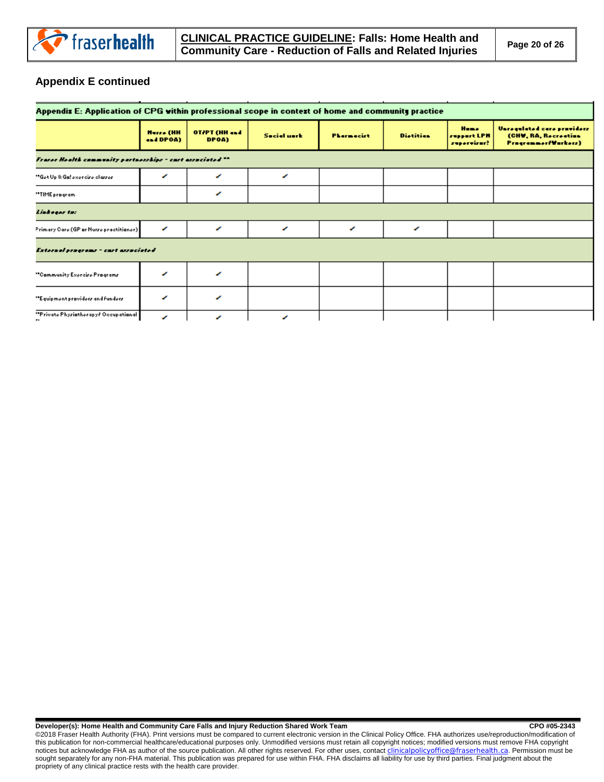

# **Appendix E continued**

| Appendix E: Application of CPG within professional scope in context of home and community practice |                               |                        |                    |                   |                  |                                           |                                                                           |  |
|----------------------------------------------------------------------------------------------------|-------------------------------|------------------------|--------------------|-------------------|------------------|-------------------------------------------|---------------------------------------------------------------------------|--|
|                                                                                                    | <b>Hurze</b> (HH<br>and DPOA) | OT/PT (HH and<br>DPOA) | <b>Secial unrk</b> | <b>Phormocirt</b> | <b>Distition</b> | <b>Home</b><br>ressert LPH<br>reporvirur? | Unregulated care praviders<br>(CHW, RA, Recreation<br>Programmer/Workerz) |  |
| Frazer Health community partnerships - cust associated **                                          |                               |                        |                    |                   |                  |                                           |                                                                           |  |
| "Got Up & Ga! oxorciro clarror"                                                                    | ◢                             | ◢                      | ◢                  |                   |                  |                                           |                                                                           |  |
| "TIME pragram                                                                                      |                               | ╭                      |                    |                   |                  |                                           |                                                                           |  |
| Linksgar ta:                                                                                       |                               |                        |                    |                   |                  |                                           |                                                                           |  |
| Primary Caro (GP or Nurzo practitioner)                                                            | ◢                             | ╭                      | ╭                  | ╭                 | ╭                |                                           |                                                                           |  |
| External programs - cart associated                                                                |                               |                        |                    |                   |                  |                                           |                                                                           |  |
| "Cammunity Exercise Pragrams                                                                       | ◢                             | ◢                      |                    |                   |                  |                                           |                                                                           |  |
| "Equipment praviders and funders                                                                   | ◢                             | ╭                      |                    |                   |                  |                                           |                                                                           |  |
| "Private Phyristherapy/ Occupational                                                               | ╭                             | ╭                      | ◢                  |                   |                  |                                           |                                                                           |  |

#### **Developer(s): Home Health and Community Care Falls and Injury Reduction Shared Work Team CPO #05-2343**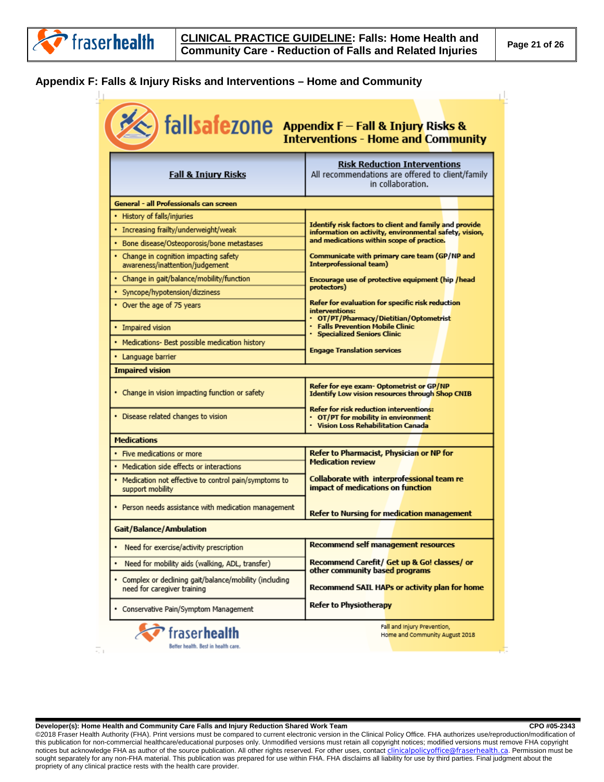# <span id="page-20-0"></span>**Appendix F: Falls & Injury Risks and Interventions – Home and Community**

| <b>Risk Reduction Interventions</b><br>All recommendations are offered to client/family<br>in collaboration.<br>Identify risk factors to client and family and provide<br>information on activity, environmental safety, vision, |
|----------------------------------------------------------------------------------------------------------------------------------------------------------------------------------------------------------------------------------|
|                                                                                                                                                                                                                                  |
|                                                                                                                                                                                                                                  |
|                                                                                                                                                                                                                                  |
|                                                                                                                                                                                                                                  |
| and medications within scope of practice.                                                                                                                                                                                        |
| Communicate with primary care team (GP/NP and<br>Interprofessional team)                                                                                                                                                         |
| Encourage use of protective equipment (hip /head                                                                                                                                                                                 |
| protectors)                                                                                                                                                                                                                      |
| Refer for evaluation for specific risk reduction<br>interventions:<br>OT/PT/Pharmacy/Dietitian/Optometrist                                                                                                                       |
| <b>Falls Prevention Mobile Clinic</b><br><b>Specialized Seniors Clinic</b>                                                                                                                                                       |
|                                                                                                                                                                                                                                  |
| <b>Engage Translation services</b>                                                                                                                                                                                               |
|                                                                                                                                                                                                                                  |
| Refer for eye exam- Optometrist or GP/NP<br>Identify Low vision resources through Shop CNIB                                                                                                                                      |
| <b>Refer for risk reduction interventions:</b><br>• OT/PT for mobility in environment<br>· Vision Loss Rehabilitation Canada                                                                                                     |
|                                                                                                                                                                                                                                  |
| Refer to Pharmacist, Physician or NP for                                                                                                                                                                                         |
| <b>Medication review</b>                                                                                                                                                                                                         |
| Collaborate with interprofessional team re<br>impact of medications on function                                                                                                                                                  |
| Refer to Nursing for medication management                                                                                                                                                                                       |
|                                                                                                                                                                                                                                  |
|                                                                                                                                                                                                                                  |
| Recommend self management resources                                                                                                                                                                                              |
| Recommend Carefit/ Get up & Go! classes/ or                                                                                                                                                                                      |
| other community based programs<br>Recommend SAIL HAPs or activity plan for home                                                                                                                                                  |
|                                                                                                                                                                                                                                  |

**Developer(s): Home Health and Community Care Falls and Injury Reduction Shared Work Team CPO #05-2343**<br>
CPO #05-2343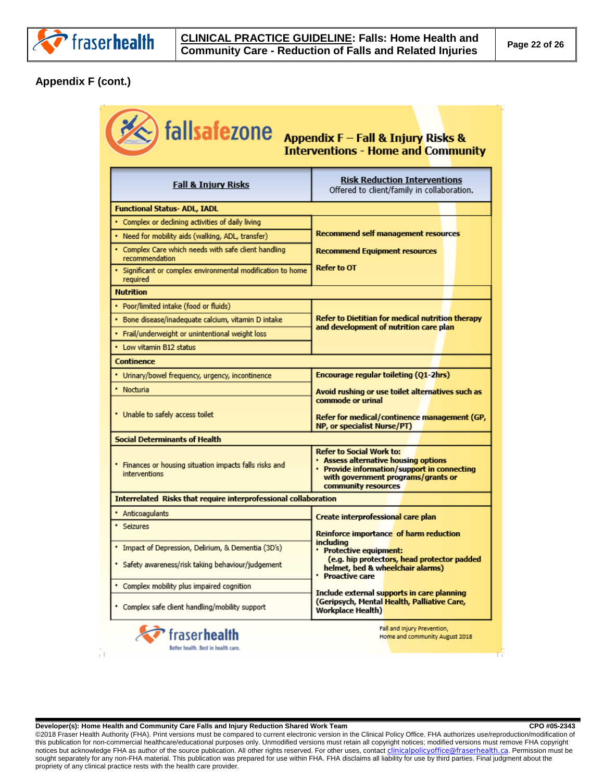

# **Appendix F (cont.)**

| $\leqslant$ ) fallsafezone                                             | Appendix F - Fall & Injury Risks &<br><b>Interventions - Home and Community</b>                                                                                            |
|------------------------------------------------------------------------|----------------------------------------------------------------------------------------------------------------------------------------------------------------------------|
| <b>Fall &amp; Injury Risks</b>                                         | <b>Risk Reduction Interventions</b><br>Offered to client/family in collaboration.                                                                                          |
| <b>Functional Status- ADL, IADL</b>                                    |                                                                                                                                                                            |
| • Complex or declining activities of daily living                      |                                                                                                                                                                            |
| • Need for mobility aids (walking, ADL, transfer)                      | Recommend self management resources                                                                                                                                        |
| • Complex Care which needs with safe dient handling<br>recommendation  | <b>Recommend Equipment resources</b>                                                                                                                                       |
| Significant or complex environmental modification to home<br>required  | <b>Refer to OT</b>                                                                                                                                                         |
| <b>Nutrition</b>                                                       |                                                                                                                                                                            |
| • Poor/limited intake (food or fluids)                                 |                                                                                                                                                                            |
| • Bone disease/inadequate calcium, vitamin D intake                    | Refer to Dietitian for medical nutrition therapy<br>and development of nutrition care plan                                                                                 |
| · Frail/underweight or unintentional weight loss                       |                                                                                                                                                                            |
| • Low vitamin B12 status                                               |                                                                                                                                                                            |
| Continence                                                             |                                                                                                                                                                            |
| * Urinary/bowel frequency, urgency, incontinence                       | <b>Encourage regular toileting (Q1-2hrs)</b>                                                                                                                               |
| • Nocturia                                                             | Avoid rushing or use toilet alternatives such as                                                                                                                           |
| • Unable to safely access toilet                                       | commode or urinal<br>Refer for medical/continence management (GP,<br>NP, or specialist Nurse/PT)                                                                           |
| <b>Social Determinants of Health</b>                                   |                                                                                                                                                                            |
| Finances or housing situation impacts falls risks and<br>interventions | Refer to Social Work to:<br>. Assess alternative housing options<br>Provide information/support in connecting<br>with government programs/grants or<br>community resources |
| Interrelated Risks that require interprofessional collaboration        |                                                                                                                                                                            |
| Anticoagulants                                                         | Create interprofessional care plan                                                                                                                                         |
| * Seizures                                                             | Reinforce importance of harm reduction                                                                                                                                     |
| * Impact of Depression, Delirium, & Dementia (3D's)                    | including<br>• Protective equipment:                                                                                                                                       |
| * Safety awareness/risk taking behaviour/judgement                     | (e.g. hip protectors, head protector padded<br>helmet, bed & wheelchair alarms)<br><b>Proactive care</b>                                                                   |
| * Complex mobility plus impaired cognition                             |                                                                                                                                                                            |
| * Complex safe client handling/mobility support                        | Include external supports in care planning<br>(Geripsych, Mental Health, Palliative Care,<br><b>Workplace Health)</b>                                                      |
| fraser <b>health</b><br>Better health. Best in health care.            | Fall and Injury Prevention,<br>Home and community August 2018                                                                                                              |

**Developer(s): Home Health and Community Care Falls and Injury Reduction Shared Work Team CPO #05-2343**<br>
CPO #05-2343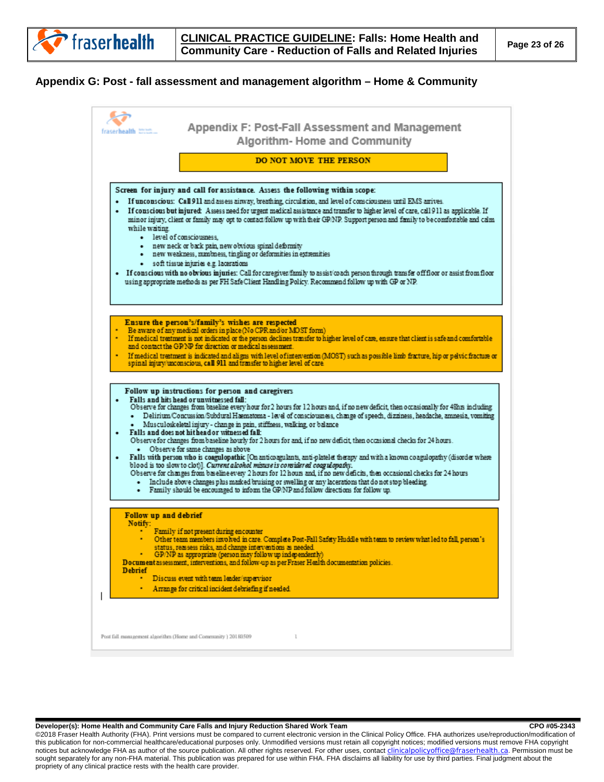#### <span id="page-22-0"></span>**Appendix G: Post - fall assessment and management algorithm – Home & Community**

| fraserhealth 2002.                                            | Appendix F: Post-Fall Assessment and Management<br>Algorithm-Home and Community                                                                                                                                                                                                                                                                                                                                                                                                                                                                                                                                                                                                                                                                                                                                                                                                                                                                                                                                                                                                                                                                                                                                  |
|---------------------------------------------------------------|------------------------------------------------------------------------------------------------------------------------------------------------------------------------------------------------------------------------------------------------------------------------------------------------------------------------------------------------------------------------------------------------------------------------------------------------------------------------------------------------------------------------------------------------------------------------------------------------------------------------------------------------------------------------------------------------------------------------------------------------------------------------------------------------------------------------------------------------------------------------------------------------------------------------------------------------------------------------------------------------------------------------------------------------------------------------------------------------------------------------------------------------------------------------------------------------------------------|
|                                                               | <b>DO NOT MOVE THE PERSON</b>                                                                                                                                                                                                                                                                                                                                                                                                                                                                                                                                                                                                                                                                                                                                                                                                                                                                                                                                                                                                                                                                                                                                                                                    |
| ٠<br>while waiting.<br>· level of consciousness.              | Screen for injury and call for assistance. Assess the following within scope:<br>If unconscious: Call 911 and assess airway, breathing, circulation, and level of consciousness until EMS arrives.<br>If conscious but injured: Assess need for urgent medical assistance and transfer to higher level of care, call 911 as applicable. If<br>minor injury, client or family may opt to contact/follow up with their GP/NP. Support person and family to be comfortable and calm<br>· new neck or back pain, new obvious spinal deformity<br>- new weakness, numbness, tingling or deformities in extremities<br>· soft tissue injuries e.g. lacerations<br>· If conscious with no obvious injuries: Call for caregiver/family to assist/coach person through transfer off floor or assist from floor<br>using appropriate methods as per FH Safe Client Handling Policy. Recommend follow up with GP or NP.                                                                                                                                                                                                                                                                                                     |
|                                                               | Ensure the person's/family's wishes are respected<br>Be aware of any medical orders in place (No CPR and/or MOST form)<br>* If medical treatment is not indicated or the person declines transfer to higher level of care, ensure that client is safe and comfortable<br>and contact the GP/NP for direction or medical assessment.<br>If medical treatment is indicated and aligns with level of intervention (MOST) such as possible limb fracture, hip or pelvic fracture or<br>spinal injury/unconscious, call 911 and transfer to higher level of care                                                                                                                                                                                                                                                                                                                                                                                                                                                                                                                                                                                                                                                      |
| ٠<br>٠                                                        | Follow up instructions for person and caregivers<br>Falls and hits head or unwitnessed fall:<br>Observe for changes from baseline every hour for 2 hours for 12 hours and, if no new deficit, then occasionally for 48hrs including<br>Delirium Concussion/Subdural Haematoma - level of consciousness, change of speech, dizziness, headache, amnesia, vomiting<br>Musculoskeletal injury - change in pain, stiffness, walking, or balance<br>Falls and does not hit head or witnessed fall:<br>Observe for changes from baseline hourly for 2 hours for and, if no new deficit, then occasional checks for 24 hours.<br>Observe for same changes as above<br>Falls with person who is coagulopathic [On anticoagulants, anti-platelet therapy and with a known coagulopathy (disorder where<br>blood is too slow to clot)]. Current alcohol misus e is considered coagulapathy.<br>Observe for changes from baseline every 2 hours for 12 hours and, if no new deficits, then occasional checks for 24 hours<br>Include above changes plus marked bruising or swelling or any lacerations that do not stop bleeding.<br>· Family should be encouraged to inform the GP/NP and follow directions for follow up. |
| Follow up and debrief<br>Notify:<br><b>Debrief</b>            | Family if not present during encounter<br>Other team members involved in care. Complete Post-Fall Safety Huddle with team to review what led to fall, person's<br>status, reasses risks, and change interventions as needed. .<br>GP/NP as appropriate (person may follow up independently)<br>Do cum ent as sessment, interventions, and follow-up as per Fraser Health documentation policies.<br>Discuss event with team leader/supervisor<br>Arrange for critical incident debriefing if needed.                                                                                                                                                                                                                                                                                                                                                                                                                                                                                                                                                                                                                                                                                                             |
| Post fall management algorithm (Home and Community ) 20180509 | ı                                                                                                                                                                                                                                                                                                                                                                                                                                                                                                                                                                                                                                                                                                                                                                                                                                                                                                                                                                                                                                                                                                                                                                                                                |

**Developer(s): Home Health and Community Care Falls and Injury Reduction Shared Work Team CPO #05-2343**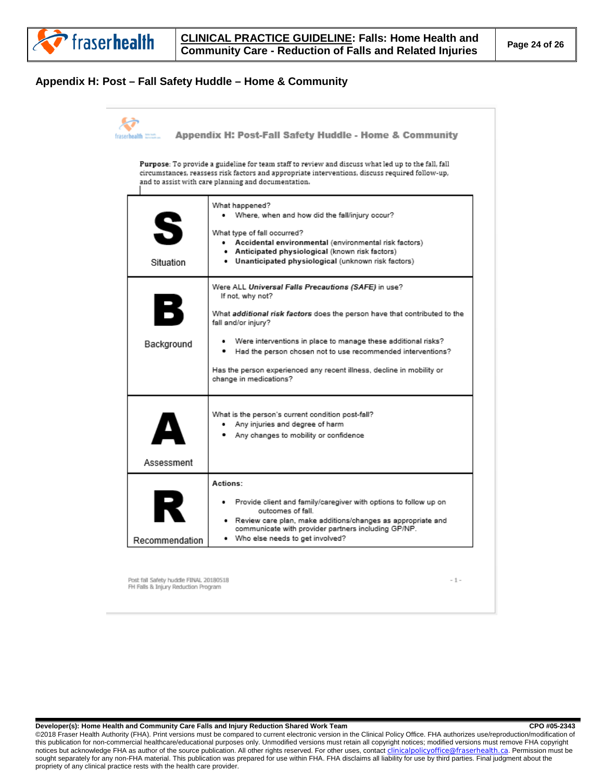

#### <span id="page-23-0"></span>**Appendix H: Post – Fall Safety Huddle – Home & Community**



Post fall Safety huddle FINAL 20180518 FH Falls & Injury Reduction Program

 $-1-$ 

Developer(s): Home Health and Community Care Falls and Injury Reduction Shared Work Team **COM 195-2343** CPO #05-2343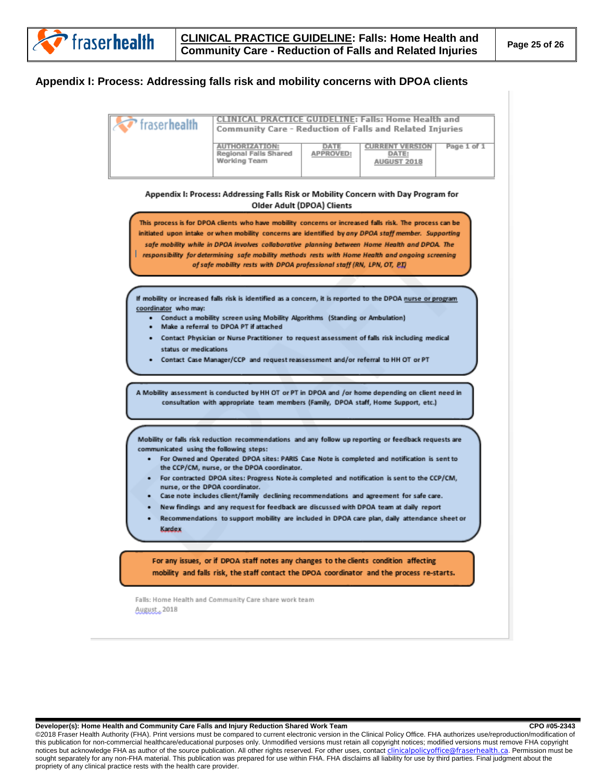#### <span id="page-24-0"></span>**Appendix I: Process: Addressing falls risk and mobility concerns with DPOA clients**

| fraser health | <b>CLINICAL PRACTICE GUIDELINE: Falls: Home Health and</b><br>Community Care - Reduction of Falls and Related Injuries |                  |             |             |  |  |
|---------------|------------------------------------------------------------------------------------------------------------------------|------------------|-------------|-------------|--|--|
|               | <b>THORTZATION</b><br>Regional Falls Shared<br>Working Team                                                            | <b>APPROVED:</b> | AUGUST 2018 | Page 1 of 1 |  |  |

Appendix I: Process: Addressing Falls Risk or Mobility Concern with Day Program for Older Adult (DPOA) Clients

This process is for DPOA clients who have mobility concerns or increased falls risk. The process can be initiated upon intake or when mobility concerns are identified by any DPOA staff member. Supporting safe mobility while in DPOA involves collaborative planning between Home Health and DPOA. The responsibility for determining safe mobility methods rests with Home Health and ongoing screening of safe mobility rests with DPOA professional staff (RN, LPN, OT, PI)

If mobility or increased falls risk is identified as a concern, it is reported to the DPOA nurse or program coordinator who may:

- Conduct a mobility screen using Mobility Algorithms (Standing or Ambulation)
- Make a referral to DPOA PT if attached
- Contact Physician or Nurse Practitioner to request assessment of falls risk including medical status or medications
- Contact Case Manager/CCP and request reassessment and/or referral to HH OT or PT

A Mobility assessment is conducted by HH OT or PT in DPOA and /or home depending on client need in consultation with appropriate team members (Family, DPOA staff, Home Support, etc.)

Mobility or falls risk reduction recommendations and any follow up reporting or feedback requests are communicated using the following steps:

- For Owned and Operated DPOA sites: PARIS Case Note is completed and notification is sent to the CCP/CM, nurse, or the DPOA coordinator.
- For contracted DPOA sites: Progress Note is completed and notification is sent to the CCP/CM, nurse, or the DPOA coordinator.
- Case note includes client/family declining recommendations and agreement for safe care.
- New findings and any request for feedback are discussed with DPOA team at daily report
- Recommendations to support mobility are included in DPOA care plan, daily attendance sheet or Kardex

For any issues, or if DPOA staff notes any changes to the clients condition affecting mobility and falls risk, the staff contact the DPOA coordinator and the process re-starts.

Falls: Home Health and Community Care share work team August, 2018

#### Developer(s): Home Health and Community Care Falls and Injury Reduction Shared Work Team **COM 195-2343** CPO #05-2343